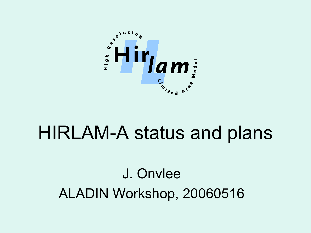

# HIRLAM-A status and plans

### J. Onvlee ALADIN Workshop, 20060516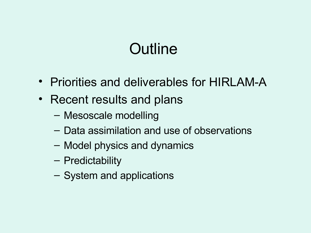# **Outline**

- Priorities and deliverables for HIRLAM-A
- Recent results and plans
	- Mesoscale modelling
	- Data assimilation and use of observations
	- Model physics and dynamics
	- Predictability
	- System and applications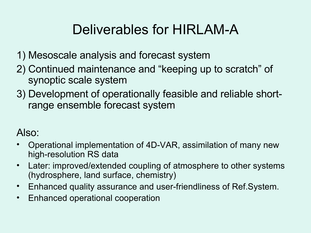#### Deliverables for HIRLAM-A

- 1) Mesoscale analysis and forecast system
- 2) Continued maintenance and "keeping up to scratch" of synoptic scale system
- 3) Development of operationally feasible and reliable shortrange ensemble forecast system

#### Also:

- Operational implementation of 4D-VAR, assimilation of many new high-resolution RS data
- Later: improved/extended coupling of atmosphere to other systems (hydrosphere, land surface, chemistry)
- Enhanced quality assurance and user-friendliness of Ref.System.
- Enhanced operational cooperation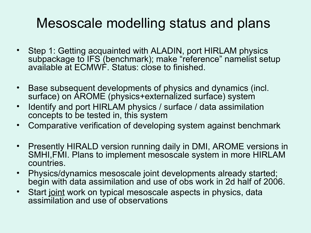#### Mesoscale modelling status and plans

- Step 1: Getting acquainted with ALADIN, port HIRLAM physics subpackage to IFS (benchmark); make "reference" namelist setup available at ECMWF. Status: close to finished.
- Base subsequent developments of physics and dynamics (incl. surface) on AROME (physics+externalized surface) system
- Identify and port HIRLAM physics / surface / data assimilation concepts to be tested in, this system
- Comparative verification of developing system against benchmark
- Presently HIRALD version running daily in DMI, AROME versions in SMHI,FMI. Plans to implement mesoscale system in more HIRLAM countries.
- Physics/dynamics mesoscale joint developments already started; begin with data assimilation and use of obs work in 2d half of 2006.
- Start joint work on typical mesoscale aspects in physics, data assimilation and use of observations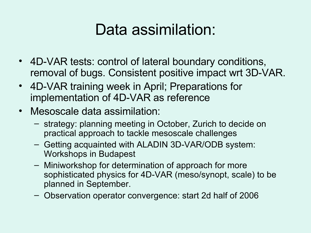### Data assimilation:

- 4D-VAR tests: control of lateral boundary conditions, removal of bugs. Consistent positive impact wrt 3D-VAR.
- 4D-VAR training week in April; Preparations for implementation of 4D-VAR as reference
- Mesoscale data assimilation:
	- strategy: planning meeting in October, Zurich to decide on practical approach to tackle mesoscale challenges
	- Getting acquainted with ALADIN 3D-VAR/ODB system: Workshops in Budapest
	- Miniworkshop for determination of approach for more sophisticated physics for 4D-VAR (meso/synopt, scale) to be planned in September.
	- Observation operator convergence: start 2d half of 2006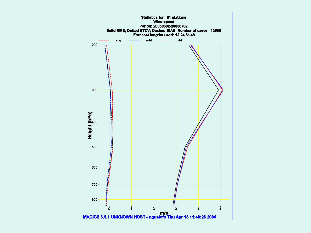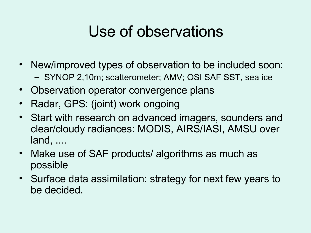# Use of observations

- New/improved types of observation to be included soon: – SYNOP 2,10m; scatterometer; AMV; OSI SAF SST, sea ice
- Observation operator convergence plans
- Radar, GPS: (joint) work ongoing
- Start with research on advanced imagers, sounders and clear/cloudy radiances: MODIS, AIRS/IASI, AMSU over land, ....
- Make use of SAF products/ algorithms as much as possible
- Surface data assimilation: strategy for next few years to be decided.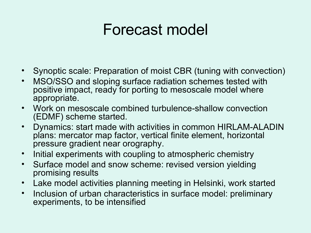### Forecast model

- Synoptic scale: Preparation of moist CBR (tuning with convection)
- MSO/SSO and sloping surface radiation schemes tested with positive impact, ready for porting to mesoscale model where appropriate.
- Work on mesoscale combined turbulence-shallow convection (EDMF) scheme started.
- Dynamics: start made with activities in common HIRLAM-ALADIN plans: mercator map factor, vertical finite element, horizontal pressure gradient near orography.
- Initial experiments with coupling to atmospheric chemistry
- Surface model and snow scheme: revised version yielding promising results
- Lake model activities planning meeting in Helsinki, work started
- Inclusion of urban characteristics in surface model: preliminary experiments, to be intensified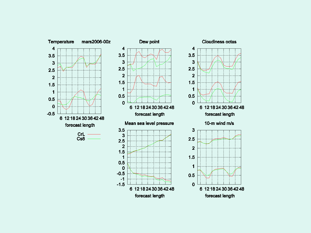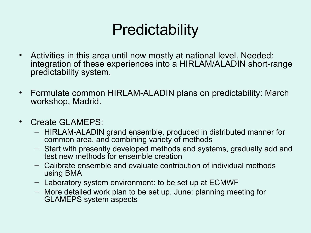# **Predictability**

- Activities in this area until now mostly at national level. Needed: integration of these experiences into a HIRLAM/ALADIN short-range predictability system.
- Formulate common HIRLAM-ALADIN plans on predictability: March workshop, Madrid.
- Create GLAMEPS:
	- HIRLAM-ALADIN grand ensemble, produced in distributed manner for common area, and combining variety of methods
	- Start with presently developed methods and systems, gradually add and test new methods for ensemble creation
	- Calibrate ensemble and evaluate contribution of individual methods using BMA
	- Laboratory system environment: to be set up at ECMWF
	- More detailed work plan to be set up. June: planning meeting for GLAMEPS system aspects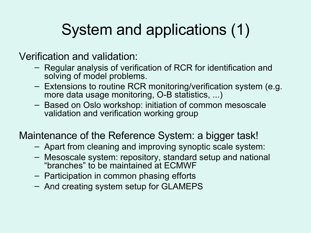# System and applications (1)

Verification and validation:

- Regular analysis of verification of RCR for identification and solving of model problems.
- Extensions to routine RCR monitoring/verification system (e.g. more data usage monitoring, O-B statistics, ...)
- Based on Oslo workshop: initiation of common mesoscale validation and verification working group

#### Maintenance of the Reference System: a bigger task!

- Apart from cleaning and improving synoptic scale system:
- Mesoscale system: repository, standard setup and national "branches" to be maintained at ECMWF
- Participation in common phasing efforts
- And creating system setup for GLAMEPS